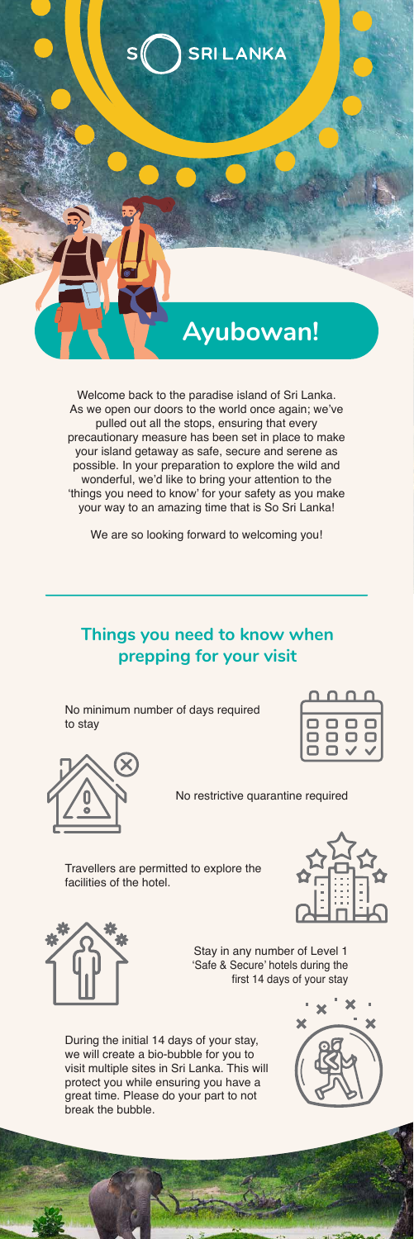

Welcome back to the paradise island of Sri Lanka. As we open our doors to the world once again; we've pulled out all the stops, ensuring that every precautionary measure has been set in place to make your island getaway as safe, secure and serene as possible. In your preparation to explore the wild and wonderful, we'd like to bring your attention to the 'things you need to know' for your safety as you make your way to an amazing time that is So Sri Lanka!

We are so looking forward to welcoming you!

### **Things you need to know when prepping for your visit**

No minimum number of days required to stay

|     | ו ו |  |
|-----|-----|--|
| 0.  | ப   |  |
| . . |     |  |



No restrictive quarantine required

Travellers are permitted to explore the facilities of the hotel.





Stay in any number of Level 1 'Safe & Secure' hotels during the first 14 days of your stay

During the initial 14 days of your stay, we will create a bio-bubble for you to visit multiple sites in Sri Lanka. This will protect you while ensuring you have a great time. Please do your part to not break the bubble.

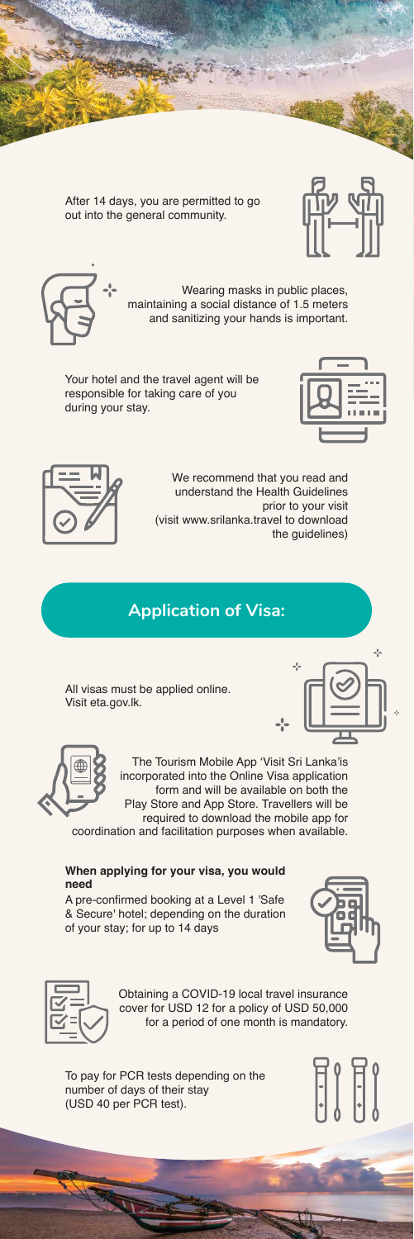After 14 days, you are permitted to go out into the general community.





Wearing masks in public places, maintaining a social distance of 1.5 meters and sanitizing your hands is important.

Your hotel and the travel agent will be responsible for taking care of you during your stay.





We recommend that you read and understand the Health Guidelines prior to your visit (visit www.srilanka.travel to download the guidelines)

## **Application of Visa:**

All visas must be applied online. Visit eta.gov.lk.





The Tourism Mobile App 'Visit Sri Lanka'is incorporated into the Online Visa application form and will be available on both the Play Store and App Store. Travellers will be required to download the mobile app for

coordination and facilitation purposes when available.

#### **When applying for your visa, you would need**

A pre-confirmed booking at a Level 1 'Safe & Secure' hotel; depending on the duration of your stay; for up to 14 days





Obtaining a COVID-19 local travel insurance cover for USD 12 for a policy of USD 50,000 for a period of one month is mandatory.

To pay for PCR tests depending on the number of days of their stay (USD 40 per PCR test).

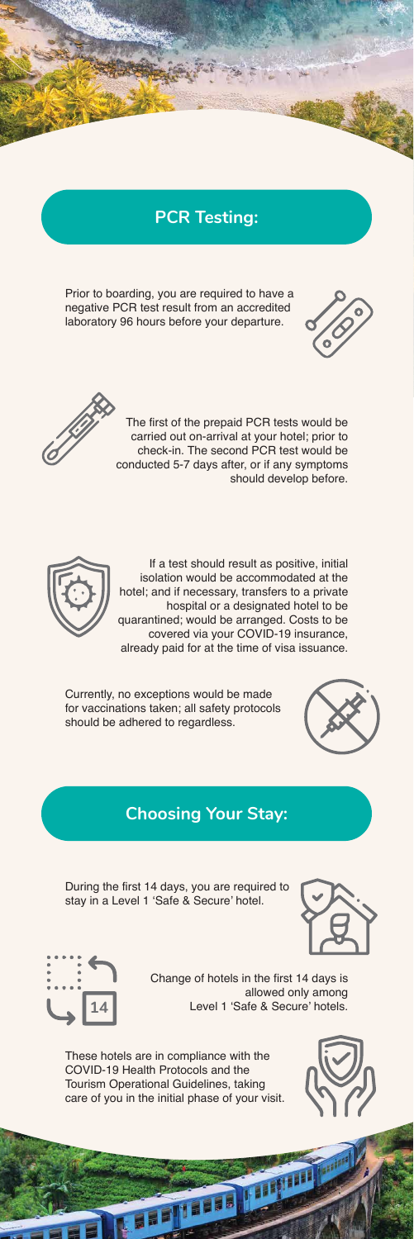#### **PCR Testing:**

Prior to boarding, you are required to have a negative PCR test result from an accredited laboratory 96 hours before your departure.





The first of the prepaid PCR tests would be carried out on-arrival at your hotel; prior to check-in. The second PCR test would be conducted 5-7 days after, or if any symptoms should develop before.



If a test should result as positive, initial isolation would be accommodated at the hotel; and if necessary, transfers to a private hospital or a designated hotel to be quarantined; would be arranged. Costs to be covered via your COVID-19 insurance, already paid for at the time of visa issuance.

Currently, no exceptions would be made for vaccinations taken; all safety protocols should be adhered to regardless.



#### **Choosing Your Stay:**

During the first 14 days, you are required to stay in a Level 1 'Safe & Secure' hotel.





Change of hotels in the first 14 days is allowed only among Level 1 'Safe & Secure' hotels.

**THE REAL PROPERTY** 

These hotels are in compliance with the COVID-19 Health Protocols and the Tourism Operational Guidelines, taking care of you in the initial phase of your visit.

**THE PLACE** 

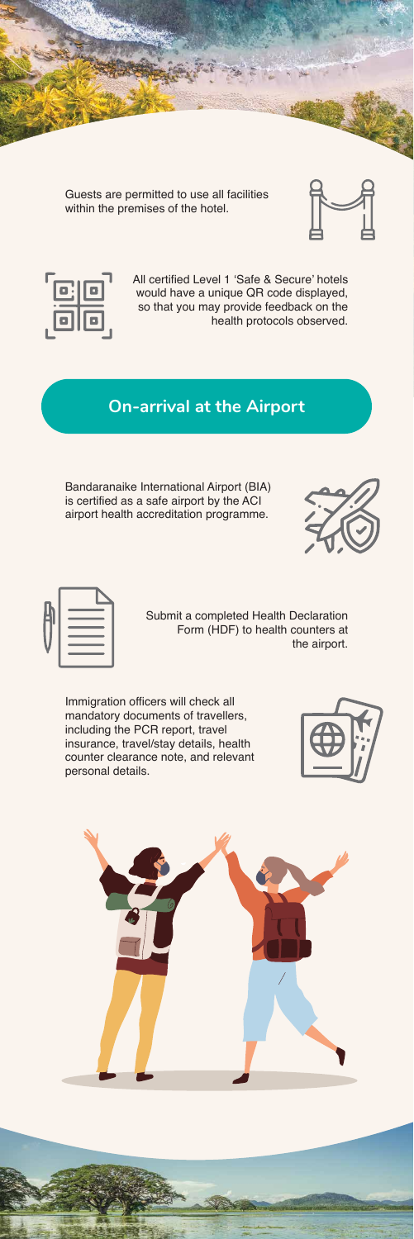Guests are permitted to use all facilities within the premises of the hotel.





All certified Level 1 'Safe & Secure' hotels would have a unique QR code displayed, so that you may provide feedback on the health protocols observed.

#### **On-arrival at the Airport**

Bandaranaike International Airport (BIA) is certified as a safe airport by the ACI airport health accreditation programme.





Submit a completed Health Declaration Form (HDF) to health counters at the airport.

Immigration officers will check all mandatory documents of travellers, including the PCR report, travel insurance, travel/stay details, health counter clearance note, and relevant personal details.



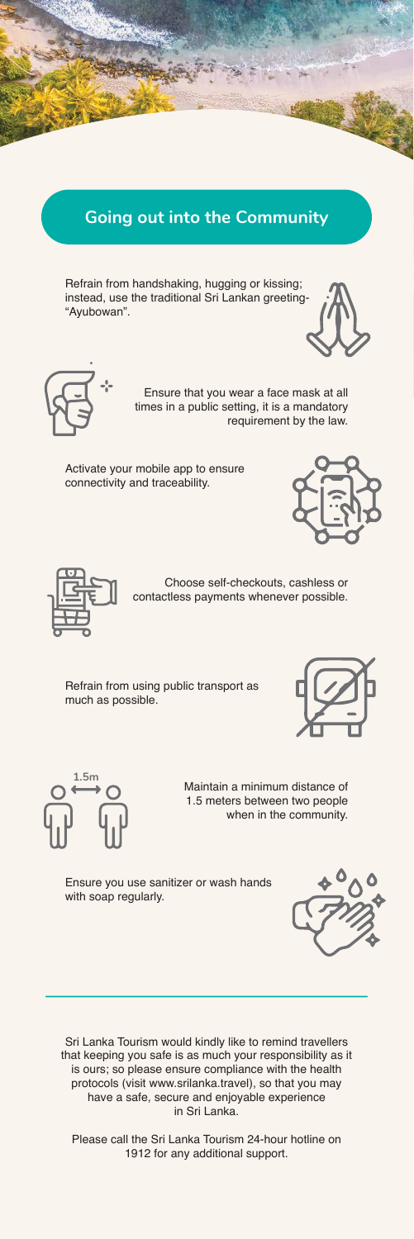#### **Going out into the Community**

Refrain from handshaking, hugging or kissing; instead, use the traditional Sri Lankan greeting- "Ayubowan".



$$
\overline{\mathbb{G}}^*
$$

Ensure that you wear a face mask at all times in a public setting, it is a mandatory requirement by the law.

Activate your mobile app to ensure connectivity and traceability.





Choose self-checkouts, cashless or contactless payments whenever possible.

Refrain from using public transport as much as possible.





Maintain a minimum distance of 1.5 meters between two people when in the community.

Ensure you use sanitizer or wash hands with soap regularly.

Sri Lanka Tourism would kindly like to remind travellers that keeping you safe is as much your responsibility as it is ours; so please ensure compliance with the health protocols (visit www.srilanka.travel), so that you may have a safe, secure and enjoyable experience in Sri Lanka.

Please call the Sri Lanka Tourism 24-hour hotline on 1912 for any additional support.